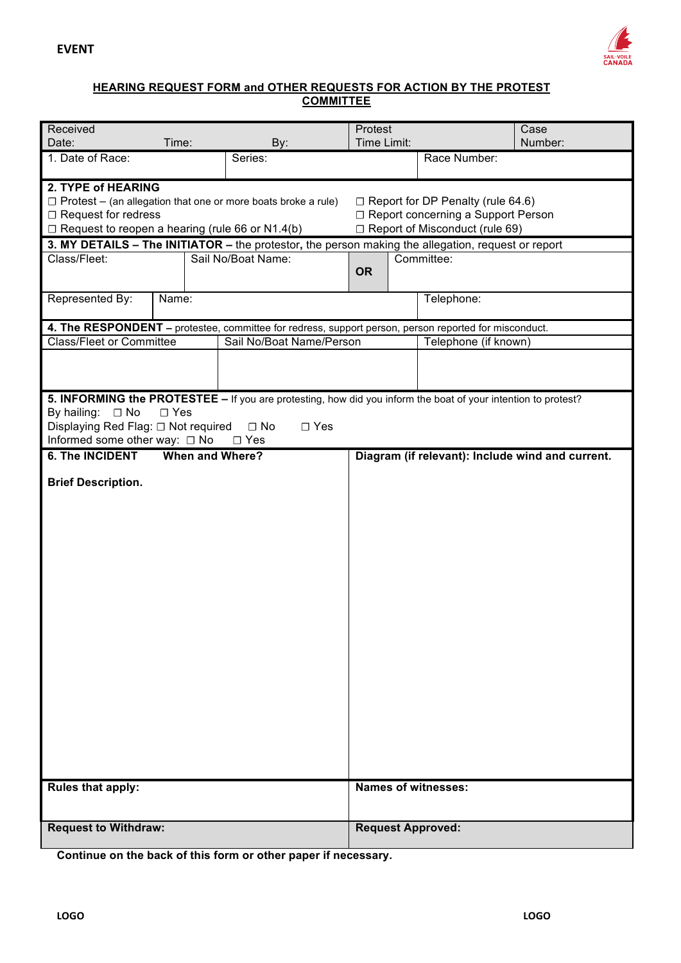

## **HEARING REQUEST FORM and OTHER REQUESTS FOR ACTION BY THE PROTEST COMMITTEE**

| Received                                                                                                    |                        |                                                                                                               |                                   |                                  |                            | Case                                             |  |
|-------------------------------------------------------------------------------------------------------------|------------------------|---------------------------------------------------------------------------------------------------------------|-----------------------------------|----------------------------------|----------------------------|--------------------------------------------------|--|
|                                                                                                             |                        |                                                                                                               | Protest<br>Time Limit:<br>Number: |                                  |                            |                                                  |  |
| Date:                                                                                                       | Time:                  | By:                                                                                                           |                                   |                                  |                            |                                                  |  |
| 1. Date of Race:                                                                                            |                        | Series:                                                                                                       |                                   |                                  | Race Number:               |                                                  |  |
| 2. TYPE of HEARING                                                                                          |                        |                                                                                                               |                                   |                                  |                            |                                                  |  |
| □ Report for DP Penalty (rule 64.6)<br>$\Box$ Protest – (an allegation that one or more boats broke a rule) |                        |                                                                                                               |                                   |                                  |                            |                                                  |  |
| $\Box$ Request for redress                                                                                  |                        | □ Report concerning a Support Person                                                                          |                                   |                                  |                            |                                                  |  |
| $\Box$ Request to reopen a hearing (rule 66 or N1.4(b)                                                      |                        |                                                                                                               |                                   | □ Report of Misconduct (rule 69) |                            |                                                  |  |
|                                                                                                             |                        | 3. MY DETAILS - The INITIATOR - the protestor, the person making the allegation, request or report            |                                   |                                  |                            |                                                  |  |
| Class/Fleet:                                                                                                |                        | Sail No/Boat Name:                                                                                            |                                   |                                  | Committee:                 |                                                  |  |
|                                                                                                             |                        |                                                                                                               | <b>OR</b>                         |                                  |                            |                                                  |  |
|                                                                                                             |                        |                                                                                                               |                                   |                                  |                            |                                                  |  |
| Represented By:                                                                                             | Name:                  |                                                                                                               |                                   |                                  | Telephone:                 |                                                  |  |
|                                                                                                             |                        |                                                                                                               |                                   |                                  |                            |                                                  |  |
|                                                                                                             |                        | 4. The RESPONDENT - protestee, committee for redress, support person, person reported for misconduct.         |                                   |                                  |                            |                                                  |  |
| <b>Class/Fleet or Committee</b>                                                                             |                        | Sail No/Boat Name/Person                                                                                      | Telephone (if known)              |                                  |                            |                                                  |  |
|                                                                                                             |                        |                                                                                                               |                                   |                                  |                            |                                                  |  |
|                                                                                                             |                        |                                                                                                               |                                   |                                  |                            |                                                  |  |
|                                                                                                             |                        |                                                                                                               |                                   |                                  |                            |                                                  |  |
|                                                                                                             |                        | 5. INFORMING the PROTESTEE - If you are protesting, how did you inform the boat of your intention to protest? |                                   |                                  |                            |                                                  |  |
| By hailing:<br>$\Box$ No                                                                                    | $\square$ Yes          |                                                                                                               |                                   |                                  |                            |                                                  |  |
| Displaying Red Flag: □ Not required                                                                         |                        | $\Box$ No<br>$\square$ Yes                                                                                    |                                   |                                  |                            |                                                  |  |
| Informed some other way: □ No<br><b>6. The INCIDENT</b>                                                     | <b>When and Where?</b> | $\Box$ Yes                                                                                                    |                                   |                                  |                            |                                                  |  |
|                                                                                                             |                        |                                                                                                               |                                   |                                  |                            | Diagram (if relevant): Include wind and current. |  |
| <b>Brief Description.</b>                                                                                   |                        |                                                                                                               |                                   |                                  |                            |                                                  |  |
|                                                                                                             |                        |                                                                                                               |                                   |                                  |                            |                                                  |  |
|                                                                                                             |                        |                                                                                                               |                                   |                                  |                            |                                                  |  |
|                                                                                                             |                        |                                                                                                               |                                   |                                  |                            |                                                  |  |
|                                                                                                             |                        |                                                                                                               |                                   |                                  |                            |                                                  |  |
|                                                                                                             |                        |                                                                                                               |                                   |                                  |                            |                                                  |  |
|                                                                                                             |                        |                                                                                                               |                                   |                                  |                            |                                                  |  |
|                                                                                                             |                        |                                                                                                               |                                   |                                  |                            |                                                  |  |
|                                                                                                             |                        |                                                                                                               |                                   |                                  |                            |                                                  |  |
|                                                                                                             |                        |                                                                                                               |                                   |                                  |                            |                                                  |  |
|                                                                                                             |                        |                                                                                                               |                                   |                                  |                            |                                                  |  |
|                                                                                                             |                        |                                                                                                               |                                   |                                  |                            |                                                  |  |
|                                                                                                             |                        |                                                                                                               |                                   |                                  |                            |                                                  |  |
|                                                                                                             |                        |                                                                                                               |                                   |                                  |                            |                                                  |  |
|                                                                                                             |                        |                                                                                                               |                                   |                                  |                            |                                                  |  |
|                                                                                                             |                        |                                                                                                               |                                   |                                  |                            |                                                  |  |
|                                                                                                             |                        |                                                                                                               |                                   |                                  |                            |                                                  |  |
|                                                                                                             |                        |                                                                                                               |                                   |                                  |                            |                                                  |  |
|                                                                                                             |                        |                                                                                                               |                                   |                                  |                            |                                                  |  |
|                                                                                                             |                        |                                                                                                               |                                   |                                  |                            |                                                  |  |
|                                                                                                             |                        |                                                                                                               |                                   |                                  |                            |                                                  |  |
|                                                                                                             |                        |                                                                                                               |                                   |                                  |                            |                                                  |  |
| Rules that apply:                                                                                           |                        |                                                                                                               |                                   |                                  | <b>Names of witnesses:</b> |                                                  |  |
|                                                                                                             |                        |                                                                                                               |                                   |                                  |                            |                                                  |  |
|                                                                                                             |                        |                                                                                                               |                                   |                                  |                            |                                                  |  |
| <b>Request to Withdraw:</b>                                                                                 |                        |                                                                                                               |                                   |                                  | <b>Request Approved:</b>   |                                                  |  |
|                                                                                                             |                        |                                                                                                               |                                   |                                  |                            |                                                  |  |

**Continue on the back of this form or other paper if necessary.**